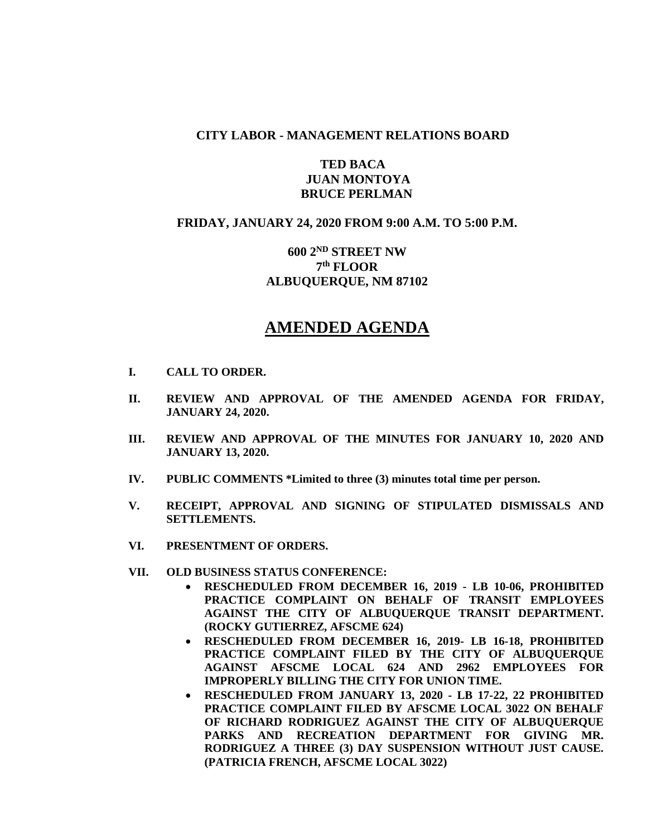## **CITY LABOR - MANAGEMENT RELATIONS BOARD**

## **TED BACA JUAN MONTOYA BRUCE PERLMAN**

## **FRIDAY, JANUARY 24, 2020 FROM 9:00 A.M. TO 5:00 P.M.**

# **600 2ND STREET NW 7 th FLOOR ALBUQUERQUE, NM 87102**

# **AMENDED AGENDA**

- **I. CALL TO ORDER.**
- **II. REVIEW AND APPROVAL OF THE AMENDED AGENDA FOR FRIDAY, JANUARY 24, 2020.**
- **III. REVIEW AND APPROVAL OF THE MINUTES FOR JANUARY 10, 2020 AND JANUARY 13, 2020.**
- **IV. PUBLIC COMMENTS \*Limited to three (3) minutes total time per person.**
- **V. RECEIPT, APPROVAL AND SIGNING OF STIPULATED DISMISSALS AND SETTLEMENTS.**
- **VI. PRESENTMENT OF ORDERS.**
- **VII. OLD BUSINESS STATUS CONFERENCE:**
	- **RESCHEDULED FROM DECEMBER 16, 2019 - LB 10-06, PROHIBITED PRACTICE COMPLAINT ON BEHALF OF TRANSIT EMPLOYEES AGAINST THE CITY OF ALBUQUERQUE TRANSIT DEPARTMENT. (ROCKY GUTIERREZ, AFSCME 624)**
	- **RESCHEDULED FROM DECEMBER 16, 2019- LB 16-18, PROHIBITED PRACTICE COMPLAINT FILED BY THE CITY OF ALBUQUERQUE AGAINST AFSCME LOCAL 624 AND 2962 EMPLOYEES FOR IMPROPERLY BILLING THE CITY FOR UNION TIME.**
	- **RESCHEDULED FROM JANUARY 13, 2020 - LB 17-22, 22 PROHIBITED PRACTICE COMPLAINT FILED BY AFSCME LOCAL 3022 ON BEHALF OF RICHARD RODRIGUEZ AGAINST THE CITY OF ALBUQUERQUE PARKS AND RECREATION DEPARTMENT FOR GIVING MR. RODRIGUEZ A THREE (3) DAY SUSPENSION WITHOUT JUST CAUSE. (PATRICIA FRENCH, AFSCME LOCAL 3022)**